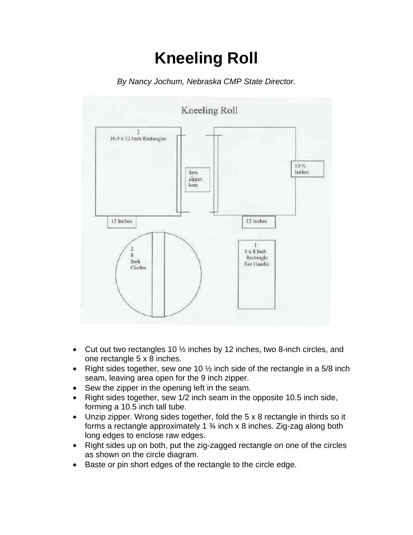## **Kneeling Roll**

*By Nancy Jochum, Nebraska CMP State Director.* 



- Cut out two rectangles 10  $\frac{1}{2}$  inches by 12 inches, two 8-inch circles, and one rectangle 5 x 8 inches.
- Right sides together, sew one 10  $\frac{1}{2}$  inch side of the rectangle in a 5/8 inch seam, leaving area open for the 9 inch zipper.
- Sew the zipper in the opening left in the seam.
- Right sides together, sew 1/2 inch seam in the opposite 10.5 inch side, forming a 10.5 inch tall tube.
- Unzip zipper. Wrong sides together, fold the 5 x 8 rectangle in thirds so it forms a rectangle approximately 1 ¾ inch x 8 inches. Zig-zag along both long edges to enclose raw edges.
- Right sides up on both, put the zig-zagged rectangle on one of the circles as shown on the circle diagram.
- Baste or pin short edges of the rectangle to the circle edge.